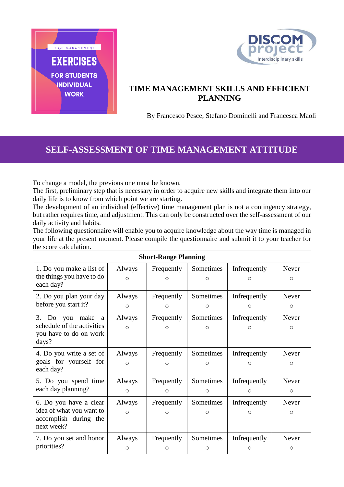



## **TIME MANAGEMENT SKILLS AND EFFICIENT PLANNING**

By Francesco Pesce, Stefano Dominelli and Francesca Maoli

## **SELF-ASSESSMENT OF TIME MANAGEMENT ATTITUDE**

To change a model, the previous one must be known.

The first, preliminary step that is necessary in order to acquire new skills and integrate them into our daily life is to know from which point we are starting.

The development of an individual (effective) time management plan is not a contingency strategy, but rather requires time, and adjustment. This can only be constructed over the self-assessment of our daily activity and habits.

The following questionnaire will enable you to acquire knowledge about the way time is managed in your life at the present moment. Please compile the questionnaire and submit it to your teacher for the score calculation.

| <b>Short-Range Planning</b>            |            |            |           |              |         |
|----------------------------------------|------------|------------|-----------|--------------|---------|
| 1. Do you make a list of               | Always     | Frequently | Sometimes | Infrequently | Never   |
| the things you have to do<br>each day? | $\bigcirc$ | Ω          | Ω         | ∩            | Ο       |
| 2. Do you plan your day                | Always     | Frequently | Sometimes | Infrequently | Never   |
| before you start it?                   | $\circ$    | $\circ$    | $\circ$   | $\circ$      | $\circ$ |
| 3.<br>Do you make<br><sub>a</sub>      | Always     | Frequently | Sometimes | Infrequently | Never   |
| schedule of the activities             | $\circ$    | Ο          | Ω         | Ο            | $\circ$ |
| you have to do on work<br>days?        |            |            |           |              |         |
| 4. Do you write a set of               | Always     | Frequently | Sometimes | Infrequently | Never   |
| goals for yourself for<br>each day?    | $\circ$    | $\circ$    | $\circ$   | $\circ$      | $\circ$ |
| 5. Do you spend time                   | Always     | Frequently | Sometimes | Infrequently | Never   |
| each day planning?                     | $\circ$    | $\circ$    | $\circ$   | $\circ$      | $\circ$ |
| 6. Do you have a clear                 | Always     | Frequently | Sometimes | Infrequently | Never   |
| idea of what you want to               | $\circ$    | $\circ$    | О         | O            | $\circ$ |
| accomplish during the<br>next week?    |            |            |           |              |         |
| 7. Do you set and honor                | Always     | Frequently | Sometimes | Infrequently | Never   |
| priorities?                            | $\circ$    | $\circ$    | О         | $\circ$      | $\circ$ |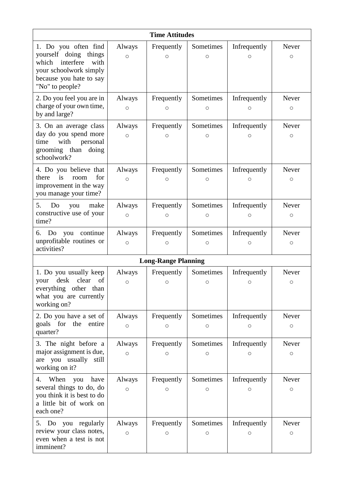| <b>Time Attitudes</b>                                                                                                                               |                   |                       |                      |                         |                     |  |  |  |
|-----------------------------------------------------------------------------------------------------------------------------------------------------|-------------------|-----------------------|----------------------|-------------------------|---------------------|--|--|--|
| 1. Do you often find<br>yourself doing things<br>which<br>interfere<br>with<br>your schoolwork simply<br>because you hate to say<br>"No" to people? | Always<br>$\circ$ | Frequently<br>$\circ$ | Sometimes<br>$\circ$ | Infrequently<br>O       | Never<br>$\circ$    |  |  |  |
| 2. Do you feel you are in<br>charge of your own time,<br>by and large?                                                                              | Always<br>$\circ$ | Frequently<br>O       | Sometimes<br>Ο       | Infrequently<br>Ο       | Never<br>O          |  |  |  |
| 3. On an average class<br>day do you spend more<br>with<br>time<br>personal<br>grooming than doing<br>schoolwork?                                   | Always<br>$\circ$ | Frequently<br>O       | Sometimes<br>Ω       | Infrequently<br>Ο       | Never<br>O          |  |  |  |
| 4. Do you believe that<br>for<br>there<br>is<br>room<br>improvement in the way<br>you manage your time?                                             | Always<br>$\circ$ | Frequently<br>О       | Sometimes<br>O       | Infrequently<br>O       | Never<br>$\circ$    |  |  |  |
| 5.<br>Do<br>make<br>you<br>constructive use of your<br>time?                                                                                        | Always<br>$\circ$ | Frequently<br>$\circ$ | Sometimes<br>О       | Infrequently<br>O       | Never<br>$\circ$    |  |  |  |
| continue<br>Do<br>you<br>6.<br>unprofitable routines or<br>activities?                                                                              | Always<br>$\circ$ | Frequently<br>$\circ$ | Sometimes<br>О       | Infrequently<br>O       | Never<br>$\circ$    |  |  |  |
| <b>Long-Range Planning</b>                                                                                                                          |                   |                       |                      |                         |                     |  |  |  |
| 1. Do you usually keep<br>desk<br>clear<br>of<br>your<br>everything other than<br>what you are currently<br>working on?                             | Always<br>$\circ$ | Frequently<br>О       | Sometimes<br>O       | Infrequently<br>$\circ$ | Never<br>$\circ$    |  |  |  |
| 2. Do you have a set of<br>goals for<br>the<br>entire<br>quarter?                                                                                   | Always<br>$\circ$ | Frequently<br>О       | Sometimes<br>Ο       | Infrequently<br>Ο       | Never<br>О          |  |  |  |
| 3. The night before a<br>major assignment is due,<br>are you usually<br>still<br>working on it?                                                     | Always<br>$\circ$ | Frequently<br>O       | Sometimes<br>Ο       | Infrequently<br>Ο       | Never<br>О          |  |  |  |
| When<br>4.<br>have<br>you<br>several things to do, do<br>you think it is best to do<br>a little bit of work on<br>each one?                         | Always<br>$\circ$ | Frequently<br>O       | Sometimes<br>Ο       | Infrequently<br>Ο       | Never<br>О          |  |  |  |
| 5. Do you regularly<br>review your class notes,<br>even when a test is not<br>imminent?                                                             | Always<br>$\circ$ | Frequently<br>О       | Sometimes<br>$\circ$ | Infrequently<br>О       | Never<br>$\bigcirc$ |  |  |  |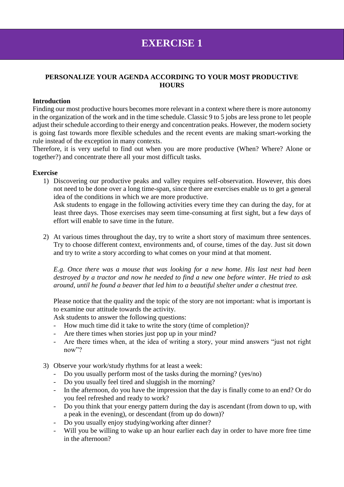### **PERSONALIZE YOUR AGENDA ACCORDING TO YOUR MOST PRODUCTIVE HOURS**

#### **Introduction**

Finding our most productive hours becomes more relevant in a context where there is more autonomy in the organization of the work and in the time schedule. Classic 9 to 5 jobs are less prone to let people adjust their schedule according to their energy and concentration peaks. However, the modern society is going fast towards more flexible schedules and the recent events are making smart-working the rule instead of the exception in many contexts.

Therefore, it is very useful to find out when you are more productive (When? Where? Alone or together?) and concentrate there all your most difficult tasks.

#### **Exercise**

1) Discovering our productive peaks and valley requires self-observation. However, this does not need to be done over a long time-span, since there are exercises enable us to get a general idea of the conditions in which we are more productive.

Ask students to engage in the following activities every time they can during the day, for at least three days. Those exercises may seem time-consuming at first sight, but a few days of effort will enable to save time in the future.

2) At various times throughout the day, try to write a short story of maximum three sentences. Try to choose different context, environments and, of course, times of the day. Just sit down and try to write a story according to what comes on your mind at that moment.

*E.g. Once there was a mouse that was looking for a new home. His last nest had been destroyed by a tractor and now he needed to find a new one before winter. He tried to ask around, until he found a beaver that led him to a beautiful shelter under a chestnut tree.*

Please notice that the quality and the topic of the story are not important: what is important is to examine our attitude towards the activity.

Ask students to answer the following questions:

- How much time did it take to write the story (time of completion)?
- Are there times when stories just pop up in your mind?
- Are there times when, at the idea of writing a story, your mind answers "just not right now"?
- 3) Observe your work/study rhythms for at least a week:
	- Do you usually perform most of the tasks during the morning? (yes/no)
	- Do you usually feel tired and sluggish in the morning?
	- In the afternoon, do you have the impression that the day is finally come to an end? Or do you feel refreshed and ready to work?
	- Do you think that your energy pattern during the day is ascendant (from down to up, with a peak in the evening), or descendant (from up do down)?
	- Do you usually enjoy studying/working after dinner?
	- Will you be willing to wake up an hour earlier each day in order to have more free time in the afternoon?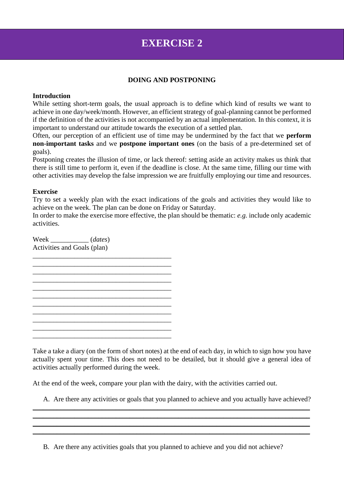## **DOING AND POSTPONING**

#### **Introduction**

While setting short-term goals, the usual approach is to define which kind of results we want to achieve in one day/week/month. However, an efficient strategy of goal-planning cannot be performed if the definition of the activities is not accompanied by an actual implementation. In this context, it is important to understand our attitude towards the execution of a settled plan.

Often, our perception of an efficient use of time may be undermined by the fact that we **perform non-important tasks** and we **postpone important ones** (on the basis of a pre-determined set of goals).

Postponing creates the illusion of time, or lack thereof: setting aside an activity makes us think that there is still time to perform it, even if the deadline is close. At the same time, filling our time with other activities may develop the false impression we are fruitfully employing our time and resources.

#### **Exercise**

Try to set a weekly plan with the exact indications of the goals and activities they would like to achieve on the week. The plan can be done on Friday or Saturday.

In order to make the exercise more effective, the plan should be thematic: *e.g.* include only academic activities.

Week \_\_\_\_\_\_\_\_\_\_\_ (*dates*) Activities and Goals (plan)



Take a take a diary (on the form of short notes) at the end of each day, in which to sign how you have actually spent your time. This does not need to be detailed, but it should give a general idea of activities actually performed during the week.

At the end of the week, compare your plan with the dairy, with the activities carried out.

A. Are there any activities or goals that you planned to achieve and you actually have achieved?

\_\_\_\_\_\_\_\_\_\_\_\_\_\_\_\_\_\_\_\_\_\_\_\_\_\_\_\_\_\_\_\_\_\_\_\_\_\_\_\_\_\_\_\_\_\_\_\_\_\_\_\_\_\_\_\_\_\_\_\_\_\_\_\_\_\_\_\_\_\_\_\_\_\_\_\_\_\_\_\_ \_\_\_\_\_\_\_\_\_\_\_\_\_\_\_\_\_\_\_\_\_\_\_\_\_\_\_\_\_\_\_\_\_\_\_\_\_\_\_\_\_\_\_\_\_\_\_\_\_\_\_\_\_\_\_\_\_\_\_\_\_\_\_\_\_\_\_\_\_\_\_\_\_\_\_\_\_\_\_\_  $\_$  , and the set of the set of the set of the set of the set of the set of the set of the set of the set of the set of the set of the set of the set of the set of the set of the set of the set of the set of the set of th \_\_\_\_\_\_\_\_\_\_\_\_\_\_\_\_\_\_\_\_\_\_\_\_\_\_\_\_\_\_\_\_\_\_\_\_\_\_\_\_\_\_\_\_\_\_\_\_\_\_\_\_\_\_\_\_\_\_\_\_\_\_\_\_\_\_\_\_\_\_\_\_\_\_\_\_\_\_\_\_

B. Are there any activities goals that you planned to achieve and you did not achieve?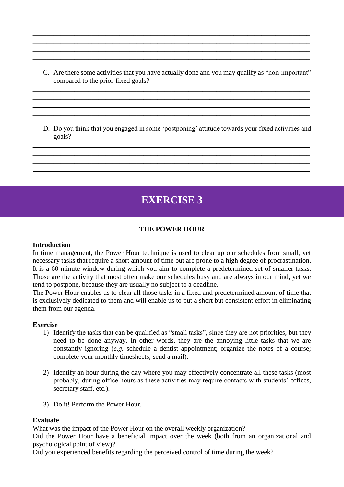C. Are there some activities that you have actually done and you may qualify as "non-important" compared to the prior-fixed goals?

\_\_\_\_\_\_\_\_\_\_\_\_\_\_\_\_\_\_\_\_\_\_\_\_\_\_\_\_\_\_\_\_\_\_\_\_\_\_\_\_\_\_\_\_\_\_\_\_\_\_\_\_\_\_\_\_\_\_\_\_\_\_\_\_\_\_\_\_\_\_\_\_\_\_\_\_\_\_\_\_ \_\_\_\_\_\_\_\_\_\_\_\_\_\_\_\_\_\_\_\_\_\_\_\_\_\_\_\_\_\_\_\_\_\_\_\_\_\_\_\_\_\_\_\_\_\_\_\_\_\_\_\_\_\_\_\_\_\_\_\_\_\_\_\_\_\_\_\_\_\_\_\_\_\_\_\_\_\_\_\_ \_\_\_\_\_\_\_\_\_\_\_\_\_\_\_\_\_\_\_\_\_\_\_\_\_\_\_\_\_\_\_\_\_\_\_\_\_\_\_\_\_\_\_\_\_\_\_\_\_\_\_\_\_\_\_\_\_\_\_\_\_\_\_\_\_\_\_\_\_\_\_\_\_\_\_\_\_\_\_\_  $\_$  , and the set of the set of the set of the set of the set of the set of the set of the set of the set of the set of the set of the set of the set of the set of the set of the set of the set of the set of the set of th

\_\_\_\_\_\_\_\_\_\_\_\_\_\_\_\_\_\_\_\_\_\_\_\_\_\_\_\_\_\_\_\_\_\_\_\_\_\_\_\_\_\_\_\_\_\_\_\_\_\_\_\_\_\_\_\_\_\_\_\_\_\_\_\_\_\_\_\_\_\_\_\_\_\_\_\_\_\_\_\_ \_\_\_\_\_\_\_\_\_\_\_\_\_\_\_\_\_\_\_\_\_\_\_\_\_\_\_\_\_\_\_\_\_\_\_\_\_\_\_\_\_\_\_\_\_\_\_\_\_\_\_\_\_\_\_\_\_\_\_\_\_\_\_\_\_\_\_\_\_\_\_\_\_\_\_\_\_\_\_\_ \_\_\_\_\_\_\_\_\_\_\_\_\_\_\_\_\_\_\_\_\_\_\_\_\_\_\_\_\_\_\_\_\_\_\_\_\_\_\_\_\_\_\_\_\_\_\_\_\_\_\_\_\_\_\_\_\_\_\_\_\_\_\_\_\_\_\_\_\_\_\_\_\_\_\_\_\_\_\_\_ \_\_\_\_\_\_\_\_\_\_\_\_\_\_\_\_\_\_\_\_\_\_\_\_\_\_\_\_\_\_\_\_\_\_\_\_\_\_\_\_\_\_\_\_\_\_\_\_\_\_\_\_\_\_\_\_\_\_\_\_\_\_\_\_\_\_\_\_\_\_\_\_\_\_\_\_\_\_\_\_

D. Do you think that you engaged in some 'postponing' attitude towards your fixed activities and goals?

\_\_\_\_\_\_\_\_\_\_\_\_\_\_\_\_\_\_\_\_\_\_\_\_\_\_\_\_\_\_\_\_\_\_\_\_\_\_\_\_\_\_\_\_\_\_\_\_\_\_\_\_\_\_\_\_\_\_\_\_\_\_\_\_\_\_\_\_\_\_\_\_\_\_\_\_\_\_\_\_ \_\_\_\_\_\_\_\_\_\_\_\_\_\_\_\_\_\_\_\_\_\_\_\_\_\_\_\_\_\_\_\_\_\_\_\_\_\_\_\_\_\_\_\_\_\_\_\_\_\_\_\_\_\_\_\_\_\_\_\_\_\_\_\_\_\_\_\_\_\_\_\_\_\_\_\_\_\_\_\_  $\_$  , and the set of the set of the set of the set of the set of the set of the set of the set of the set of the set of the set of the set of the set of the set of the set of the set of the set of the set of the set of th \_\_\_\_\_\_\_\_\_\_\_\_\_\_\_\_\_\_\_\_\_\_\_\_\_\_\_\_\_\_\_\_\_\_\_\_\_\_\_\_\_\_\_\_\_\_\_\_\_\_\_\_\_\_\_\_\_\_\_\_\_\_\_\_\_\_\_\_\_\_\_\_\_\_\_\_\_\_\_\_

# **EXERCISE 3**

## **THE POWER HOUR**

### **Introduction**

In time management, the Power Hour technique is used to clear up our schedules from small, yet necessary tasks that require a short amount of time but are prone to a high degree of procrastination. It is a 60-minute window during which you aim to complete a predetermined set of smaller tasks. Those are the activity that most often make our schedules busy and are always in our mind, yet we tend to postpone, because they are usually no subject to a deadline.

The Power Hour enables us to clear all those tasks in a fixed and predetermined amount of time that is exclusively dedicated to them and will enable us to put a short but consistent effort in eliminating them from our agenda.

#### **Exercise**

- 1) Identify the tasks that can be qualified as "small tasks", since they are not priorities, but they need to be done anyway. In other words, they are the annoying little tasks that we are constantly ignoring (*e.g.* schedule a dentist appointment; organize the notes of a course; complete your monthly timesheets; send a mail).
- 2) Identify an hour during the day where you may effectively concentrate all these tasks (most probably, during office hours as these activities may require contacts with students' offices, secretary staff, etc.).
- 3) Do it! Perform the Power Hour.

#### **Evaluate**

What was the impact of the Power Hour on the overall weekly organization?

Did the Power Hour have a beneficial impact over the week (both from an organizational and psychological point of view)?

Did you experienced benefits regarding the perceived control of time during the week?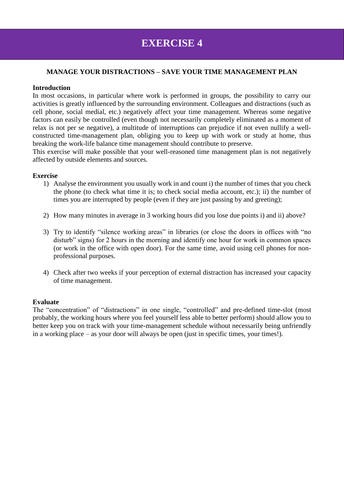## **MANAGE YOUR DISTRACTIONS – SAVE YOUR TIME MANAGEMENT PLAN**

#### **Introduction**

In most occasions, in particular where work is performed in groups, the possibility to carry our activities is greatly influenced by the surrounding environment. Colleagues and distractions (such as cell phone, social medial, etc.) negatively affect your time management. Whereas some negative factors can easily be controlled (even though not necessarily completely eliminated as a moment of relax is not per se negative), a multitude of interruptions can prejudice if not even nullify a wellconstructed time-management plan, obliging you to keep up with work or study at home, thus breaking the work-life balance time management should contribute to preserve.

This exercise will make possible that your well-reasoned time management plan is not negatively affected by outside elements and sources.

#### **Exercise**

- 1) Analyse the environment you usually work in and count i) the number of times that you check the phone (to check what time it is; to check social media account, etc.); ii) the number of times you are interrupted by people (even if they are just passing by and greeting);
- 2) How many minutes in average in 3 working hours did you lose due points i) and ii) above?
- 3) Try to identify "silence working areas" in libraries (or close the doors in offices with "no disturb" signs) for 2 hours in the morning and identify one hour for work in common spaces (or work in the office with open door). For the same time, avoid using cell phones for nonprofessional purposes.
- 4) Check after two weeks if your perception of external distraction has increased your capacity of time management.

## **Evaluate**

The "concentration" of "distractions" in one single, "controlled" and pre-defined time-slot (most probably, the working hours where you feel yourself less able to better perform) should allow you to better keep you on track with your time-management schedule without necessarily being unfriendly in a working place – as your door will always be open (just in specific times, your times!).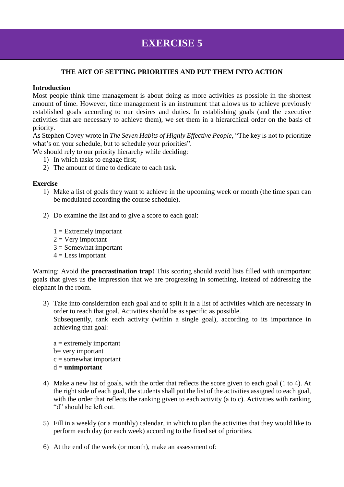## **THE ART OF SETTING PRIORITIES AND PUT THEM INTO ACTION**

### **Introduction**

Most people think time management is about doing as more activities as possible in the shortest amount of time. However, time management is an instrument that allows us to achieve previously established goals according to our desires and duties. In establishing goals (and the executive activities that are necessary to achieve them), we set them in a hierarchical order on the basis of priority.

As Stephen Covey wrote in *The Seven Habits of Highly Effective People*, "The key is not to prioritize what's on your schedule, but to schedule your priorities".

We should rely to our priority hierarchy while deciding:

- 1) In which tasks to engage first;
- 2) The amount of time to dedicate to each task.

#### **Exercise**

- 1) Make a list of goals they want to achieve in the upcoming week or month (the time span can be modulated according the course schedule).
- 2) Do examine the list and to give a score to each goal:
	- $1 =$  Extremely important
	- $2 =$  Very important
	- $3 =$  Somewhat important
	- $4 =$ Less important

Warning: Avoid the **procrastination trap!** This scoring should avoid lists filled with unimportant goals that gives us the impression that we are progressing in something, instead of addressing the elephant in the room.

- 3) Take into consideration each goal and to split it in a list of activities which are necessary in order to reach that goal. Activities should be as specific as possible. Subsequently, rank each activity (within a single goal), according to its importance in achieving that goal:
	- a = extremely important b= very important  $c =$ somewhat important d = **unimportant**
- 4) Make a new list of goals, with the order that reflects the score given to each goal (1 to 4). At the right side of each goal, the students shall put the list of the activities assigned to each goal, with the order that reflects the ranking given to each activity (a to c). Activities with ranking "d" should be left out.
- 5) Fill in a weekly (or a monthly) calendar, in which to plan the activities that they would like to perform each day (or each week) according to the fixed set of priorities.
- 6) At the end of the week (or month), make an assessment of: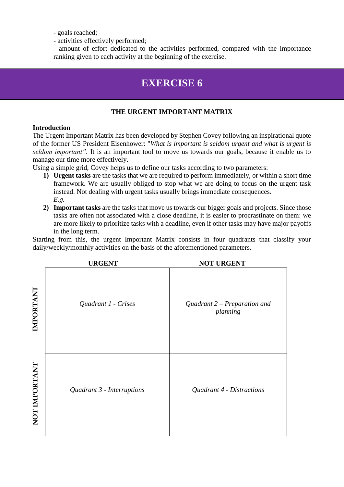- goals reached;

- activities effectively performed;

- amount of effort dedicated to the activities performed, compared with the importance ranking given to each activity at the beginning of the exercise.

# **EXERCISE 6**

## **THE URGENT IMPORTANT MATRIX**

#### **Introduction**

The Urgent Important Matrix has been developed by Stephen Covey following an inspirational quote of the former US President Eisenhower: "*What is important is seldom urgent and what is urgent is seldom important".* It is an important tool to move us towards our goals, because it enable us to manage our time more effectively.

Using a simple grid, Covey helps us to define our tasks according to two parameters:

- **1) Urgent tasks** are the tasks that we are required to perform immediately, or within a short time framework. We are usually obliged to stop what we are doing to focus on the urgent task instead. Not dealing with urgent tasks usually brings immediate consequences. *E.g.*
- **2) Important tasks** are the tasks that move us towards our bigger goals and projects. Since those tasks are often not associated with a close deadline, it is easier to procrastinate on them: we are more likely to prioritize tasks with a deadline, even if other tasks may have major payoffs in the long term.

Starting from this, the urgent Important Matrix consists in four quadrants that classify your daily/weekly/monthly activities on the basis of the aforementioned parameters.

|               | <b>URGENT</b>              | <b>NOT URGENT</b>                          |
|---------------|----------------------------|--------------------------------------------|
| IMPORTANT     | Quadrant 1 - Crises        | Quadrant $2$ – Preparation and<br>planning |
| NOT IMPORTANT | Quadrant 3 - Interruptions | Quadrant 4 - Distractions                  |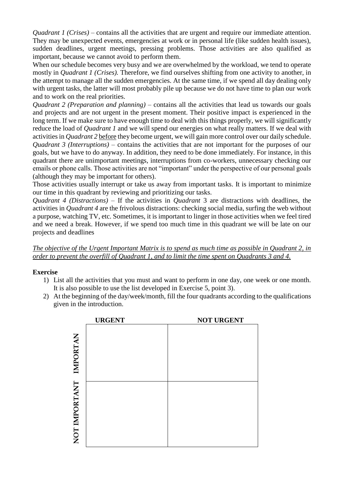*Quadrant 1 (Crises)* – contains all the activities that are urgent and require our immediate attention. They may be unexpected events, emergencies at work or in personal life (like sudden health issues), sudden deadlines, urgent meetings, pressing problems. Those activities are also qualified as important, because we cannot avoid to perform them.

When our schedule becomes very busy and we are overwhelmed by the workload, we tend to operate mostly in *Quadrant 1 (Crises).* Therefore, we find ourselves shifting from one activity to another, in the attempt to manage all the sudden emergencies. At the same time, if we spend all day dealing only with urgent tasks, the latter will most probably pile up because we do not have time to plan our work and to work on the real priorities.

*Quadrant 2 (Preparation and planning) –* contains all the activities that lead us towards our goals and projects and are not urgent in the present moment. Their positive impact is experienced in the long term. If we make sure to have enough time to deal with this things properly, we will significantly reduce the load of *Quadrant 1* and we will spend our energies on what really matters. If we deal with activities in *Quadrant 2* before they become urgent, we will gain more control over our daily schedule. *Quadrant 3 (Interruptions)* – contains the activities that are not important for the purposes of our goals, but we have to do anyway. In addition, they need to be done immediately. For instance, in this quadrant there are unimportant meetings, interruptions from co-workers, unnecessary checking our emails or phone calls. Those activities are not "important" under the perspective of our personal goals (although they may be important for others).

Those activities usually interrupt or take us away from important tasks. It is important to minimize our time in this quadrant by reviewing and prioritizing our tasks.

*Quadrant 4 (Distractions)* – If the activities in *Quadrant* 3 are distractions with deadlines, the activities in *Quadrant 4* are the frivolous distractions: checking social media, surfing the web without a purpose, watching TV, etc. Sometimes, it is important to linger in those activities when we feel tired and we need a break. However, if we spend too much time in this quadrant we will be late on our projects and deadlines

*The objective of the Urgent Important Matrix is to spend as much time as possible in Quadrant 2, in order to prevent the overfill of Quadrant 1, and to limit the time spent on Quadrants 3 and 4.*

## **Exercise**

- 1) List all the activities that you must and want to perform in one day, one week or one month. It is also possible to use the list developed in Exercise 5, point 3).
- 2) At the beginning of the day/week/month, fill the four quadrants according to the qualifications given in the introduction.